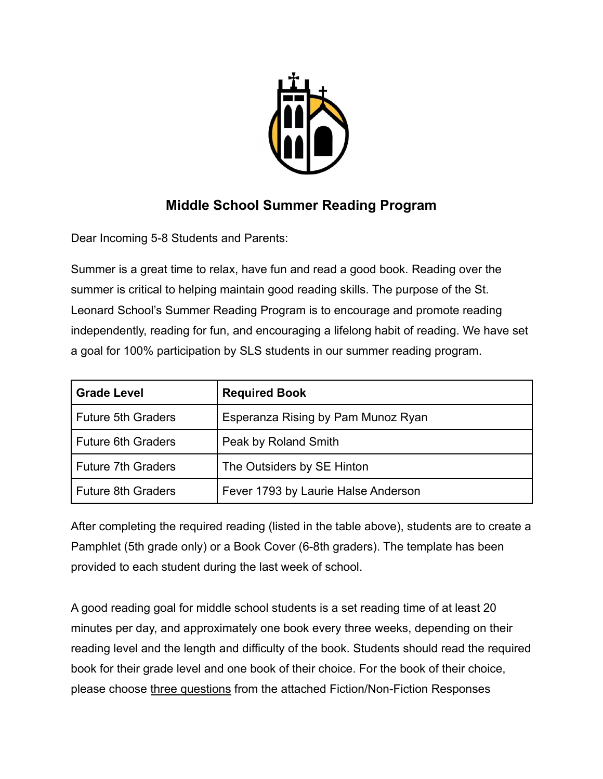

## **Middle School Summer Reading Program**

Dear Incoming 5-8 Students and Parents:

Summer is a great time to relax, have fun and read a good book. Reading over the summer is critical to helping maintain good reading skills. The purpose of the St. Leonard School's Summer Reading Program is to encourage and promote reading independently, reading for fun, and encouraging a lifelong habit of reading. We have set a goal for 100% participation by SLS students in our summer reading program.

| <b>Grade Level</b>        | <b>Required Book</b>                |
|---------------------------|-------------------------------------|
| <b>Future 5th Graders</b> | Esperanza Rising by Pam Munoz Ryan  |
| Future 6th Graders        | Peak by Roland Smith                |
| <b>Future 7th Graders</b> | The Outsiders by SE Hinton          |
| Future 8th Graders        | Fever 1793 by Laurie Halse Anderson |

After completing the required reading (listed in the table above), students are to create a Pamphlet (5th grade only) or a Book Cover (6-8th graders). The template has been provided to each student during the last week of school.

A good reading goal for middle school students is a set reading time of at least 20 minutes per day, and approximately one book every three weeks, depending on their reading level and the length and difficulty of the book. Students should read the required book for their grade level and one book of their choice. For the book of their choice, please choose three questions from the attached Fiction/Non-Fiction Responses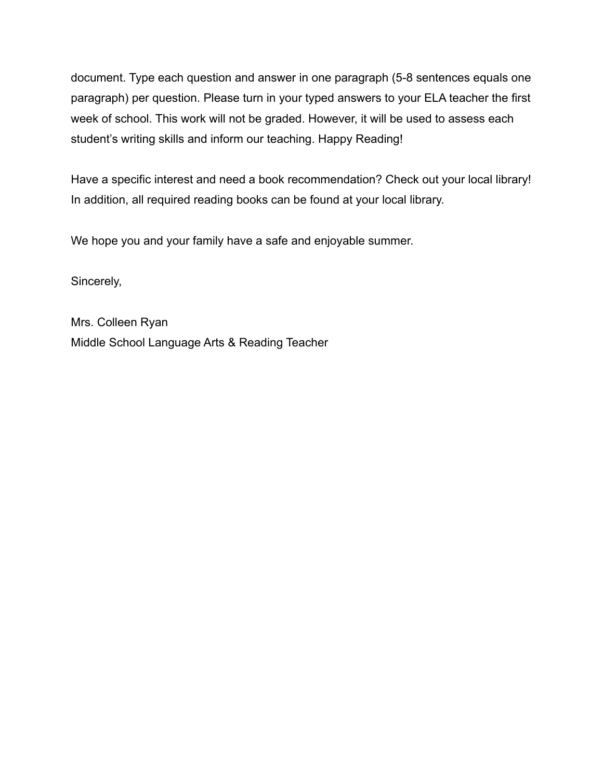document. Type each question and answer in one paragraph (5-8 sentences equals one paragraph) per question. Please turn in your typed answers to your ELA teacher the first week of school. This work will not be graded. However, it will be used to assess each student's writing skills and inform our teaching. Happy Reading!

Have a specific interest and need a book recommendation? Check out your local library! In addition, all required reading books can be found at your local library.

We hope you and your family have a safe and enjoyable summer.

Sincerely,

Mrs. Colleen Ryan Middle School Language Arts & Reading Teacher